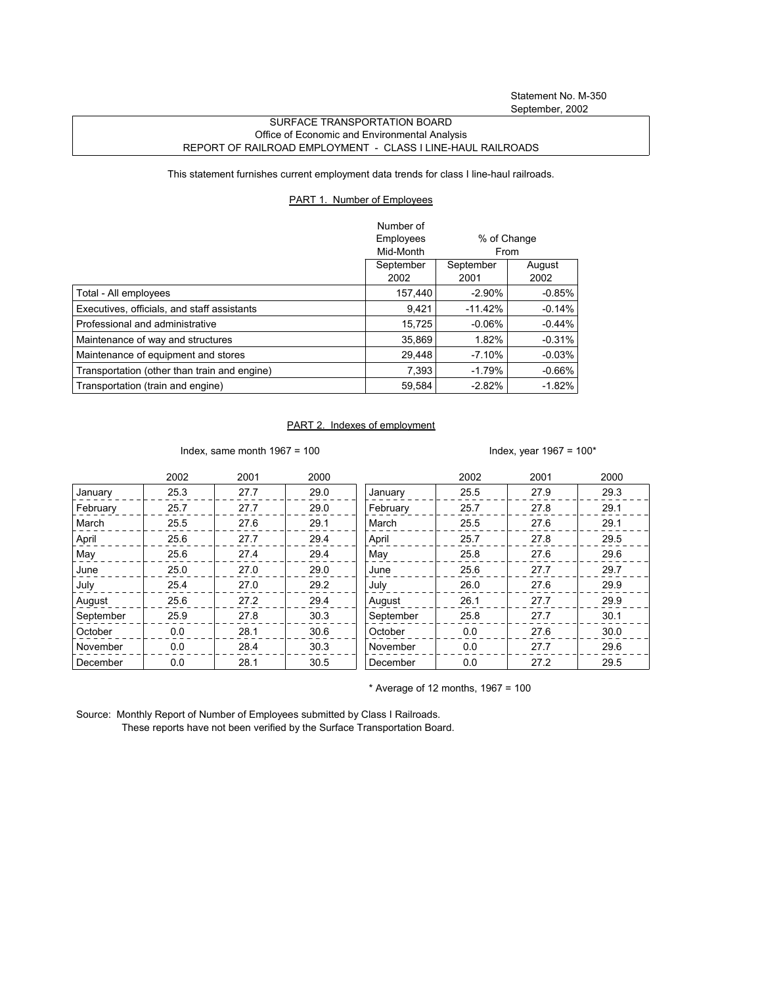## SURFACE TRANSPORTATION BOARD Office of Economic and Environmental Analysis REPORT OF RAILROAD EMPLOYMENT - CLASS I LINE-HAUL RAILROADS

This statement furnishes current employment data trends for class I line-haul railroads.

## PART 1. Number of Employees

|                                              | Number of<br>Employees<br>Mid-Month | % of Change<br>From |                |
|----------------------------------------------|-------------------------------------|---------------------|----------------|
|                                              | September<br>2002                   | September<br>2001   | August<br>2002 |
| Total - All employees                        | 157.440                             | $-2.90\%$           | $-0.85\%$      |
| Executives, officials, and staff assistants  | 9,421                               | $-11.42%$           | $-0.14%$       |
| Professional and administrative              | 15.725                              | $-0.06\%$           | $-0.44\%$      |
| Maintenance of way and structures            | 35.869                              | 1.82%               | $-0.31%$       |
| Maintenance of equipment and stores          | 29,448                              | $-7.10%$            | $-0.03\%$      |
| Transportation (other than train and engine) | 7.393                               | $-1.79%$            | $-0.66%$       |
| Transportation (train and engine)            | 59,584                              | $-2.82%$            | $-1.82\%$      |

## PART 2. Indexes of employment

Index, same month  $1967 = 100$  Index, year  $1967 = 100*$ 

|           | 2002 | 2001 | 2000 |           | 2002 | 2001 | 2000 |
|-----------|------|------|------|-----------|------|------|------|
| January   | 25.3 | 27.7 | 29.0 | January   | 25.5 | 27.9 | 29.3 |
| February  | 25.7 | 27.7 | 29.0 | February  | 25.7 | 27.8 | 29.1 |
| March     | 25.5 | 27.6 | 29.1 | March     | 25.5 | 27.6 | 29.1 |
| April     | 25.6 | 27.7 | 29.4 | April     | 25.7 | 27.8 | 29.5 |
| May       | 25.6 | 27.4 | 29.4 | May       | 25.8 | 27.6 | 29.6 |
| June      | 25.0 | 27.0 | 29.0 | June      | 25.6 | 27.7 | 29.7 |
| July      | 25.4 | 27.0 | 29.2 | July      | 26.0 | 27.6 | 29.9 |
| August    | 25.6 | 27.2 | 29.4 | August    | 26.1 | 27.7 | 29.9 |
| September | 25.9 | 27.8 | 30.3 | September | 25.8 | 27.7 | 30.1 |
| October   | 0.0  | 28.1 | 30.6 | October   | 0.0  | 27.6 | 30.0 |
| November  | 0.0  | 28.4 | 30.3 | November  | 0.0  | 27.7 | 29.6 |
| December  | 0.0  | 28.1 | 30.5 | December  | 0.0  | 27.2 | 29.5 |

 $*$  Average of 12 months, 1967 = 100

Source: Monthly Report of Number of Employees submitted by Class I Railroads. These reports have not been verified by the Surface Transportation Board.